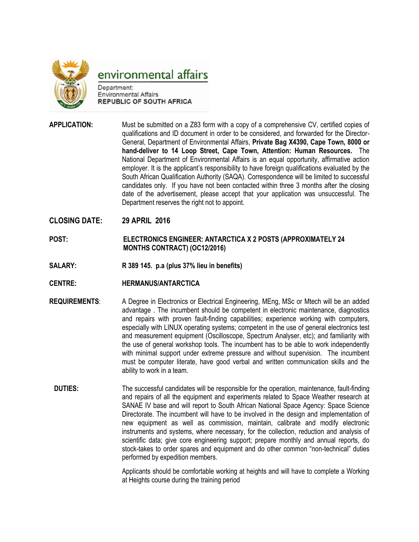

environmental affairs

Department: **Environmental Affairs REPUBLIC OF SOUTH AFRICA** 

**APPLICATION:** Must be submitted on a Z83 form with a copy of a comprehensive CV, certified copies of qualifications and ID document in order to be considered, and forwarded for the Director-General, Department of Environmental Affairs, **Private Bag X4390, Cape Town, 8000 or hand-deliver to 14 Loop Street, Cape Town, Attention: Human Resources.** The National Department of Environmental Affairs is an equal opportunity, affirmative action employer. It is the applicant's responsibility to have foreign qualifications evaluated by the South African Qualification Authority (SAQA). Correspondence will be limited to successful candidates only. If you have not been contacted within three 3 months after the closing date of the advertisement, please accept that your application was unsuccessful. The Department reserves the right not to appoint.

## **CLOSING DATE: 29 APRIL 2016**

- **POST: ELECTRONICS ENGINEER: ANTARCTICA X 2 POSTS (APPROXIMATELY 24 MONTHS CONTRACT) (OC12/2016)**
- **SALARY: R 389 145. p.a (plus 37% lieu in benefits)**
- **CENTRE: HERMANUS/ANTARCTICA**
- **REQUIREMENTS**: A Degree in Electronics or Electrical Engineering, MEng, MSc or Mtech will be an added advantage . The incumbent should be competent in electronic maintenance, diagnostics and repairs with proven fault-finding capabilities; experience working with computers, especially with LINUX operating systems; competent in the use of general electronics test and measurement equipment (Oscilloscope, Spectrum Analyser, etc); and familiarity with the use of general workshop tools. The incumbent has to be able to work independently with minimal support under extreme pressure and without supervision. The incumbent must be computer literate, have good verbal and written communication skills and the ability to work in a team.
	- **DUTIES:** The successful candidates will be responsible for the operation, maintenance, fault-finding and repairs of all the equipment and experiments related to Space Weather research at SANAE IV base and will report to South African National Space Agency: Space Science Directorate. The incumbent will have to be involved in the design and implementation of new equipment as well as commission, maintain, calibrate and modify electronic instruments and systems, where necessary, for the collection, reduction and analysis of scientific data; give core engineering support; prepare monthly and annual reports, do stock-takes to order spares and equipment and do other common "non-technical" duties performed by expedition members.

Applicants should be comfortable working at heights and will have to complete a Working at Heights course during the training period